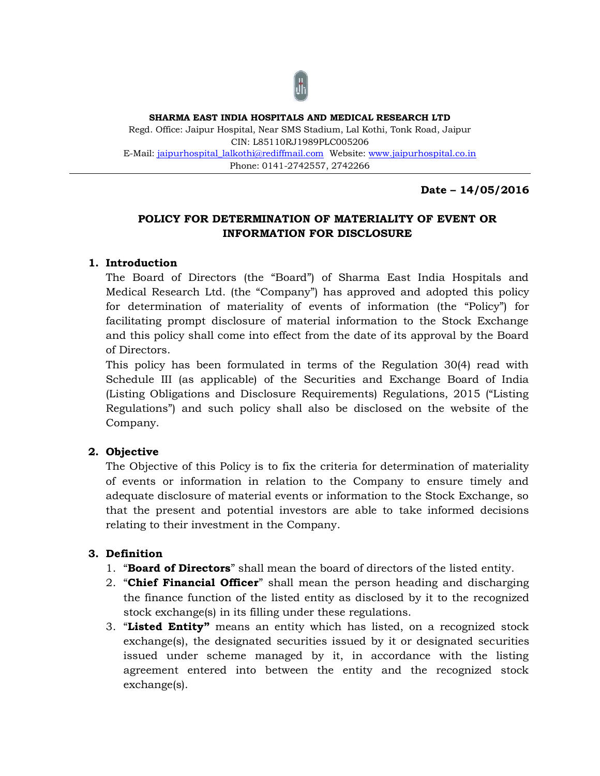

**SHARMA EAST INDIA HOSPITALS AND MEDICAL RESEARCH LTD** Regd. Office: Jaipur Hospital, Near SMS Stadium, Lal Kothi, Tonk Road, Jaipur CIN: L85110RJ1989PLC005206 E-Mail: [jaipurhospital\\_lalkothi@rediffmail.com](mailto:jaipurhospital_lalkothi@rediffmail.com) Website: [www.jaipurhospital.co.in](http://www.jaipurhospital.co.in/)  Phone: 0141-2742557, 2742266

**Date – 14/05/2016**

# **POLICY FOR DETERMINATION OF MATERIALITY OF EVENT OR INFORMATION FOR DISCLOSURE**

## **1. Introduction**

The Board of Directors (the "Board") of Sharma East India Hospitals and Medical Research Ltd. (the "Company") has approved and adopted this policy for determination of materiality of events of information (the "Policy") for facilitating prompt disclosure of material information to the Stock Exchange and this policy shall come into effect from the date of its approval by the Board of Directors.

This policy has been formulated in terms of the Regulation 30(4) read with Schedule III (as applicable) of the Securities and Exchange Board of India (Listing Obligations and Disclosure Requirements) Regulations, 2015 ("Listing Regulations") and such policy shall also be disclosed on the website of the Company.

# **2. Objective**

The Objective of this Policy is to fix the criteria for determination of materiality of events or information in relation to the Company to ensure timely and adequate disclosure of material events or information to the Stock Exchange, so that the present and potential investors are able to take informed decisions relating to their investment in the Company.

# **3. Definition**

- 1. "**Board of Directors**" shall mean the board of directors of the listed entity.
- 2. "**Chief Financial Officer**" shall mean the person heading and discharging the finance function of the listed entity as disclosed by it to the recognized stock exchange(s) in its filling under these regulations.
- 3. "**Listed Entity"** means an entity which has listed, on a recognized stock exchange(s), the designated securities issued by it or designated securities issued under scheme managed by it, in accordance with the listing agreement entered into between the entity and the recognized stock exchange(s).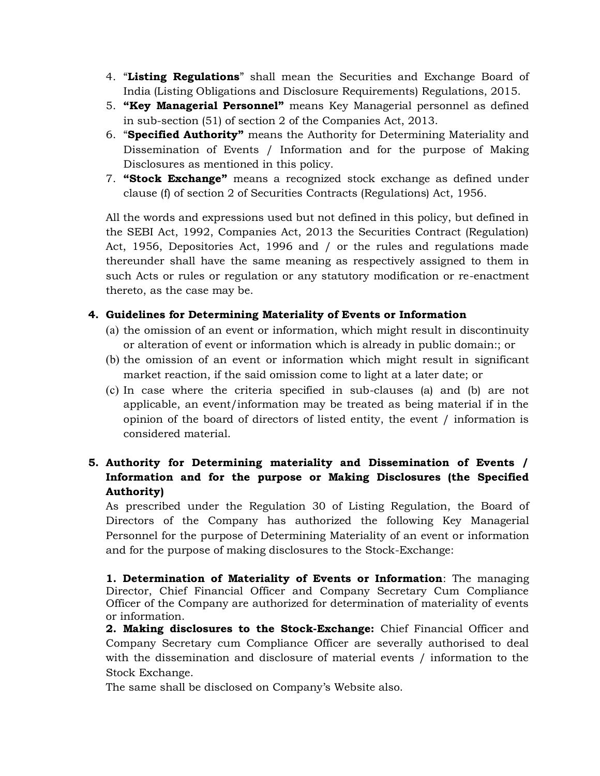- 4. "**Listing Regulations**" shall mean the Securities and Exchange Board of India (Listing Obligations and Disclosure Requirements) Regulations, 2015.
- 5. **"Key Managerial Personnel"** means Key Managerial personnel as defined in sub-section (51) of section 2 of the Companies Act, 2013.
- 6. "**Specified Authority"** means the Authority for Determining Materiality and Dissemination of Events / Information and for the purpose of Making Disclosures as mentioned in this policy.
- 7. **"Stock Exchange"** means a recognized stock exchange as defined under clause (f) of section 2 of Securities Contracts (Regulations) Act, 1956.

All the words and expressions used but not defined in this policy, but defined in the SEBI Act, 1992, Companies Act, 2013 the Securities Contract (Regulation) Act, 1956, Depositories Act, 1996 and / or the rules and regulations made thereunder shall have the same meaning as respectively assigned to them in such Acts or rules or regulation or any statutory modification or re-enactment thereto, as the case may be.

## **4. Guidelines for Determining Materiality of Events or Information**

- (a) the omission of an event or information, which might result in discontinuity or alteration of event or information which is already in public domain:; or
- (b) the omission of an event or information which might result in significant market reaction, if the said omission come to light at a later date; or
- (c) In case where the criteria specified in sub-clauses (a) and (b) are not applicable, an event/information may be treated as being material if in the opinion of the board of directors of listed entity, the event / information is considered material.

# **5. Authority for Determining materiality and Dissemination of Events / Information and for the purpose or Making Disclosures (the Specified Authority)**

As prescribed under the Regulation 30 of Listing Regulation, the Board of Directors of the Company has authorized the following Key Managerial Personnel for the purpose of Determining Materiality of an event or information and for the purpose of making disclosures to the Stock-Exchange:

**1. Determination of Materiality of Events or Information**: The managing Director, Chief Financial Officer and Company Secretary Cum Compliance Officer of the Company are authorized for determination of materiality of events or information.

**2. Making disclosures to the Stock-Exchange:** Chief Financial Officer and Company Secretary cum Compliance Officer are severally authorised to deal with the dissemination and disclosure of material events / information to the Stock Exchange.

The same shall be disclosed on Company's Website also.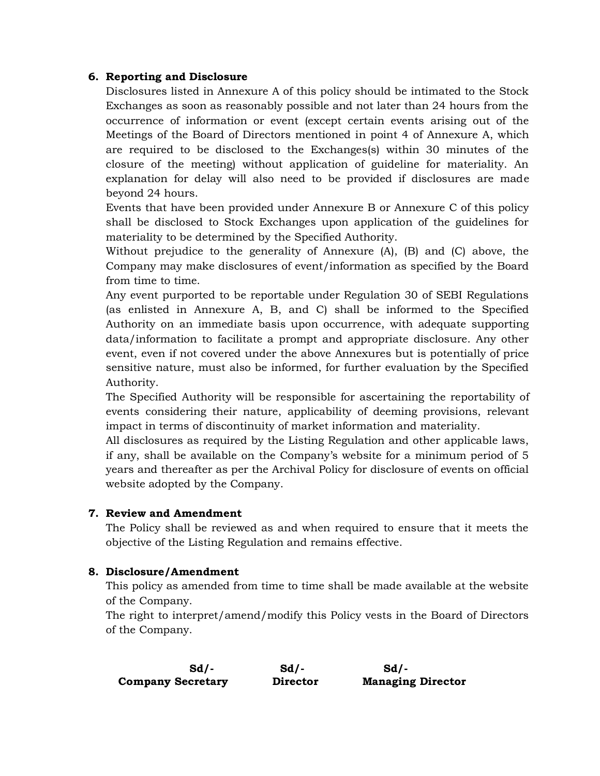#### **6. Reporting and Disclosure**

Disclosures listed in Annexure A of this policy should be intimated to the Stock Exchanges as soon as reasonably possible and not later than 24 hours from the occurrence of information or event (except certain events arising out of the Meetings of the Board of Directors mentioned in point 4 of Annexure A, which are required to be disclosed to the Exchanges(s) within 30 minutes of the closure of the meeting) without application of guideline for materiality. An explanation for delay will also need to be provided if disclosures are made beyond 24 hours.

Events that have been provided under Annexure B or Annexure C of this policy shall be disclosed to Stock Exchanges upon application of the guidelines for materiality to be determined by the Specified Authority.

Without prejudice to the generality of Annexure (A), (B) and (C) above, the Company may make disclosures of event/information as specified by the Board from time to time.

Any event purported to be reportable under Regulation 30 of SEBI Regulations (as enlisted in Annexure A, B, and C) shall be informed to the Specified Authority on an immediate basis upon occurrence, with adequate supporting data/information to facilitate a prompt and appropriate disclosure. Any other event, even if not covered under the above Annexures but is potentially of price sensitive nature, must also be informed, for further evaluation by the Specified Authority.

The Specified Authority will be responsible for ascertaining the reportability of events considering their nature, applicability of deeming provisions, relevant impact in terms of discontinuity of market information and materiality.

All disclosures as required by the Listing Regulation and other applicable laws, if any, shall be available on the Company's website for a minimum period of 5 years and thereafter as per the Archival Policy for disclosure of events on official website adopted by the Company.

### **7. Review and Amendment**

The Policy shall be reviewed as and when required to ensure that it meets the objective of the Listing Regulation and remains effective.

### **8. Disclosure/Amendment**

This policy as amended from time to time shall be made available at the website of the Company.

The right to interpret/amend/modify this Policy vests in the Board of Directors of the Company.

| $Sd$ / -                 | $Sd$ .   | Sd/-                     |
|--------------------------|----------|--------------------------|
| <b>Company Secretary</b> | Director | <b>Managing Director</b> |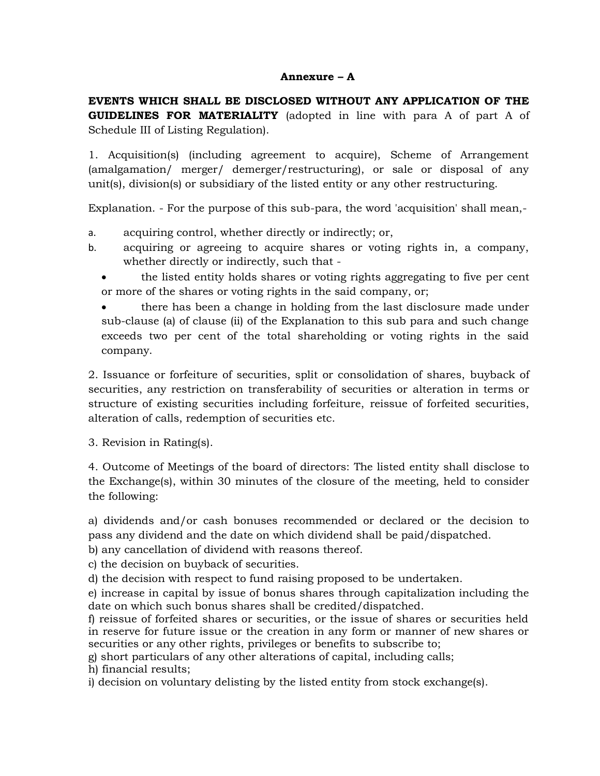#### **Annexure – A**

**EVENTS WHICH SHALL BE DISCLOSED WITHOUT ANY APPLICATION OF THE GUIDELINES FOR MATERIALITY** (adopted in line with para A of part A of Schedule III of Listing Regulation).

1. Acquisition(s) (including agreement to acquire), Scheme of Arrangement (amalgamation/ merger/ demerger/restructuring), or sale or disposal of any unit(s), division(s) or subsidiary of the listed entity or any other restructuring.

Explanation. - For the purpose of this sub-para, the word 'acquisition' shall mean,-

- a. acquiring control, whether directly or indirectly; or,
- b. acquiring or agreeing to acquire shares or voting rights in, a company, whether directly or indirectly, such that
	- the listed entity holds shares or voting rights aggregating to five per cent or more of the shares or voting rights in the said company, or;

 there has been a change in holding from the last disclosure made under sub-clause (a) of clause (ii) of the Explanation to this sub para and such change exceeds two per cent of the total shareholding or voting rights in the said company.

2. Issuance or forfeiture of securities, split or consolidation of shares, buyback of securities, any restriction on transferability of securities or alteration in terms or structure of existing securities including forfeiture, reissue of forfeited securities, alteration of calls, redemption of securities etc.

3. Revision in Rating(s).

4. Outcome of Meetings of the board of directors: The listed entity shall disclose to the Exchange(s), within 30 minutes of the closure of the meeting, held to consider the following:

a) dividends and/or cash bonuses recommended or declared or the decision to pass any dividend and the date on which dividend shall be paid/dispatched.

b) any cancellation of dividend with reasons thereof.

c) the decision on buyback of securities.

d) the decision with respect to fund raising proposed to be undertaken.

e) increase in capital by issue of bonus shares through capitalization including the date on which such bonus shares shall be credited/dispatched.

f) reissue of forfeited shares or securities, or the issue of shares or securities held in reserve for future issue or the creation in any form or manner of new shares or securities or any other rights, privileges or benefits to subscribe to;

g) short particulars of any other alterations of capital, including calls;

h) financial results;

i) decision on voluntary delisting by the listed entity from stock exchange(s).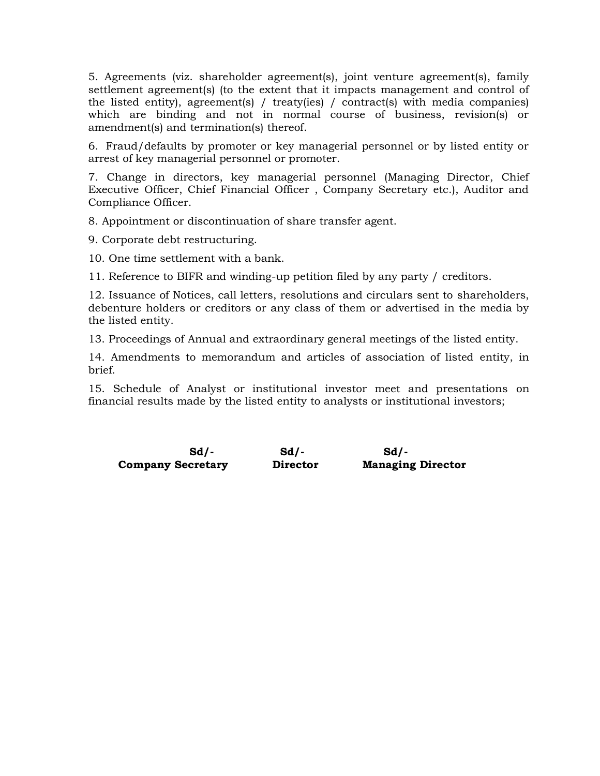5. Agreements (viz. shareholder agreement(s), joint venture agreement(s), family settlement agreement(s) (to the extent that it impacts management and control of the listed entity), agreement(s) / treaty(ies) / contract(s) with media companies) which are binding and not in normal course of business, revision(s) or amendment(s) and termination(s) thereof.

6. Fraud/defaults by promoter or key managerial personnel or by listed entity or arrest of key managerial personnel or promoter.

7. Change in directors, key managerial personnel (Managing Director, Chief Executive Officer, Chief Financial Officer , Company Secretary etc.), Auditor and Compliance Officer.

8. Appointment or discontinuation of share transfer agent.

9. Corporate debt restructuring.

10. One time settlement with a bank.

11. Reference to BIFR and winding-up petition filed by any party / creditors.

12. Issuance of Notices, call letters, resolutions and circulars sent to shareholders, debenture holders or creditors or any class of them or advertised in the media by the listed entity.

13. Proceedings of Annual and extraordinary general meetings of the listed entity.

14. Amendments to memorandum and articles of association of listed entity, in brief.

15. Schedule of Analyst or institutional investor meet and presentations on financial results made by the listed entity to analysts or institutional investors;

**Sd/- Sd/- Sd/- Company Secretary Director Managing Director**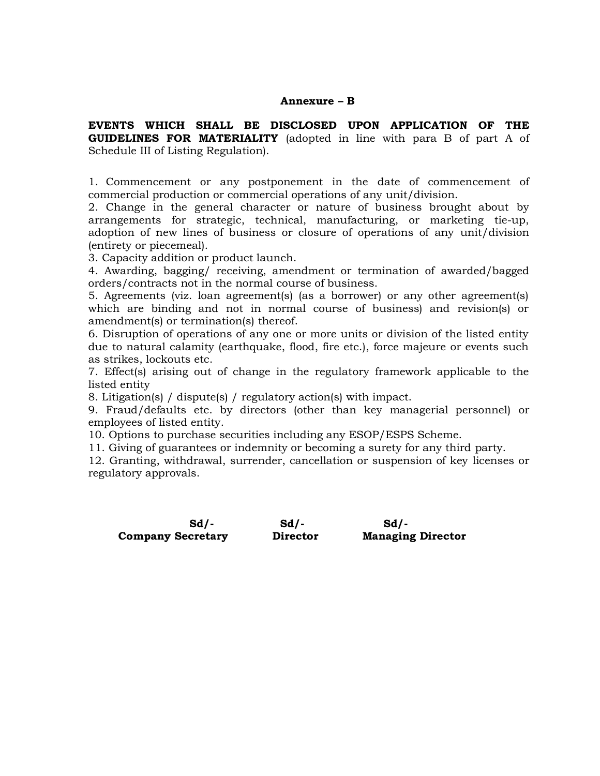#### **Annexure – B**

**EVENTS WHICH SHALL BE DISCLOSED UPON APPLICATION OF THE GUIDELINES FOR MATERIALITY** (adopted in line with para B of part A of Schedule III of Listing Regulation).

1. Commencement or any postponement in the date of commencement of commercial production or commercial operations of any unit/division.

2. Change in the general character or nature of business brought about by arrangements for strategic, technical, manufacturing, or marketing tie-up, adoption of new lines of business or closure of operations of any unit/division (entirety or piecemeal).

3. Capacity addition or product launch.

4. Awarding, bagging/ receiving, amendment or termination of awarded/bagged orders/contracts not in the normal course of business.

5. Agreements (viz. loan agreement(s) (as a borrower) or any other agreement(s) which are binding and not in normal course of business) and revision(s) or amendment(s) or termination(s) thereof.

6. Disruption of operations of any one or more units or division of the listed entity due to natural calamity (earthquake, flood, fire etc.), force majeure or events such as strikes, lockouts etc.

7. Effect(s) arising out of change in the regulatory framework applicable to the listed entity

8. Litigation(s) / dispute(s) / regulatory action(s) with impact.

9. Fraud/defaults etc. by directors (other than key managerial personnel) or employees of listed entity.

10. Options to purchase securities including any ESOP/ESPS Scheme.

11. Giving of guarantees or indemnity or becoming a surety for any third party.

12. Granting, withdrawal, surrender, cancellation or suspension of key licenses or regulatory approvals.

 **Company Secretary Director Managing Director**

**Sd/- Sd/- Sd/-**